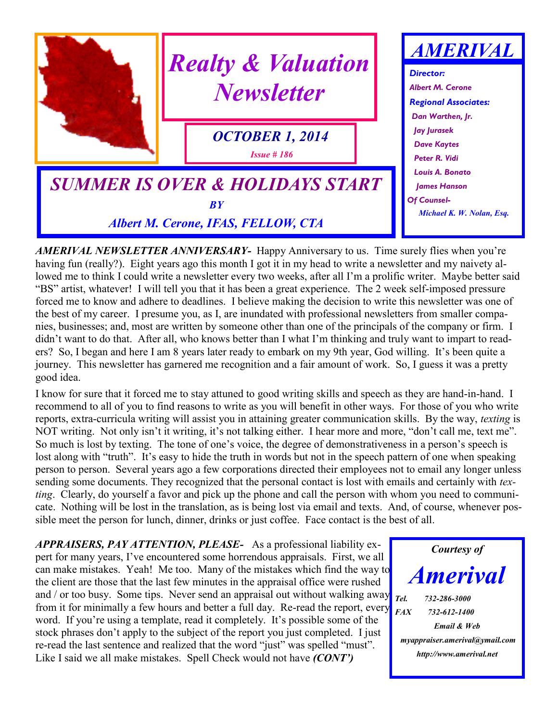

*AMERIVAL NEWSLETTER ANNIVERSARY-* Happy Anniversary to us. Time surely flies when you're having fun (really?). Eight years ago this month I got it in my head to write a newsletter and my naivety allowed me to think I could write a newsletter every two weeks, after all I'm a prolific writer. Maybe better said "BS" artist, whatever! I will tell you that it has been a great experience. The 2 week self-imposed pressure forced me to know and adhere to deadlines. I believe making the decision to write this newsletter was one of the best of my career. I presume you, as I, are inundated with professional newsletters from smaller companies, businesses; and, most are written by someone other than one of the principals of the company or firm. I didn't want to do that. After all, who knows better than I what I'm thinking and truly want to impart to readers? So, I began and here I am 8 years later ready to embark on my 9th year, God willing. It's been quite a journey. This newsletter has garnered me recognition and a fair amount of work. So, I guess it was a pretty good idea.

I know for sure that it forced me to stay attuned to good writing skills and speech as they are hand-in-hand. I recommend to all of you to find reasons to write as you will benefit in other ways. For those of you who write reports, extra-curricula writing will assist you in attaining greater communication skills. By the way, *texting* is NOT writing. Not only isn't it writing, it's not talking either. I hear more and more, "don't call me, text me". So much is lost by texting. The tone of one's voice, the degree of demonstrativeness in a person's speech is lost along with "truth". It's easy to hide the truth in words but not in the speech pattern of one when speaking person to person. Several years ago a few corporations directed their employees not to email any longer unless sending some documents. They recognized that the personal contact is lost with emails and certainly with *texting*. Clearly, do yourself a favor and pick up the phone and call the person with whom you need to communicate. Nothing will be lost in the translation, as is being lost via email and texts. And, of course, whenever possible meet the person for lunch, dinner, drinks or just coffee. Face contact is the best of all.

*APPRAISERS, PAY ATTENTION, PLEASE-* As a professional liability expert for many years, I've encountered some horrendous appraisals. First, we all can make mistakes. Yeah! Me too. Many of the mistakes which find the way to the client are those that the last few minutes in the appraisal office were rushed and / or too busy. Some tips. Never send an appraisal out without walking away from it for minimally a few hours and better a full day. Re-read the report, every word. If you're using a template, read it completely. It's possible some of the stock phrases don't apply to the subject of the report you just completed. I just re-read the last sentence and realized that the word "just" was spelled "must". Like I said we all make mistakes. Spell Check would not have *(CONT')*

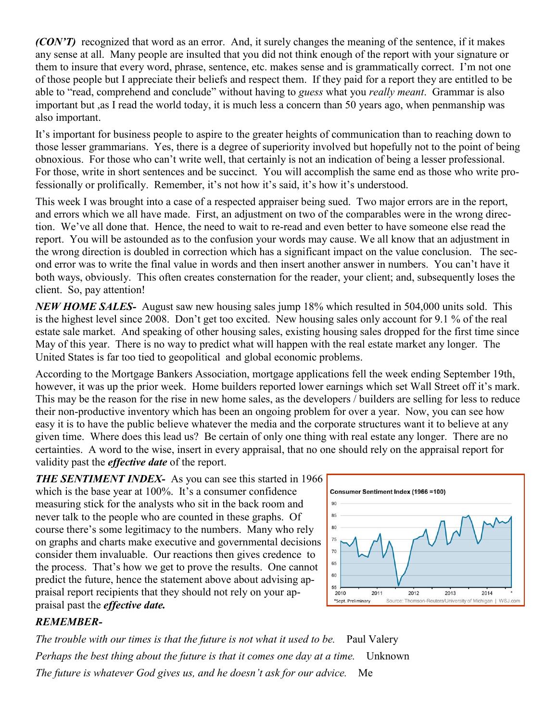*(CON'T)* recognized that word as an error. And, it surely changes the meaning of the sentence, if it makes any sense at all. Many people are insulted that you did not think enough of the report with your signature or them to insure that every word, phrase, sentence, etc. makes sense and is grammatically correct. I'm not one of those people but I appreciate their beliefs and respect them. If they paid for a report they are entitled to be able to "read, comprehend and conclude" without having to *guess* what you *really meant*. Grammar is also important but ,as I read the world today, it is much less a concern than 50 years ago, when penmanship was also important.

It's important for business people to aspire to the greater heights of communication than to reaching down to those lesser grammarians. Yes, there is a degree of superiority involved but hopefully not to the point of being obnoxious. For those who can't write well, that certainly is not an indication of being a lesser professional. For those, write in short sentences and be succinct. You will accomplish the same end as those who write professionally or prolifically. Remember, it's not how it's said, it's how it's understood.

This week I was brought into a case of a respected appraiser being sued. Two major errors are in the report, and errors which we all have made. First, an adjustment on two of the comparables were in the wrong direction. We've all done that. Hence, the need to wait to re-read and even better to have someone else read the report. You will be astounded as to the confusion your words may cause. We all know that an adjustment in the wrong direction is doubled in correction which has a significant impact on the value conclusion. The second error was to write the final value in words and then insert another answer in numbers. You can't have it both ways, obviously. This often creates consternation for the reader, your client; and, subsequently loses the client. So, pay attention!

*NEW HOME SALES-* August saw new housing sales jump 18% which resulted in 504,000 units sold. This is the highest level since 2008. Don't get too excited. New housing sales only account for 9.1 % of the real estate sale market. And speaking of other housing sales, existing housing sales dropped for the first time since May of this year. There is no way to predict what will happen with the real estate market any longer. The United States is far too tied to geopolitical and global economic problems.

According to the Mortgage Bankers Association, mortgage applications fell the week ending September 19th, however, it was up the prior week. Home builders reported lower earnings which set Wall Street off it's mark. This may be the reason for the rise in new home sales, as the developers / builders are selling for less to reduce their non-productive inventory which has been an ongoing problem for over a year. Now, you can see how easy it is to have the public believe whatever the media and the corporate structures want it to believe at any given time. Where does this lead us? Be certain of only one thing with real estate any longer. There are no certainties. A word to the wise, insert in every appraisal, that no one should rely on the appraisal report for validity past the *effective date* of the report.

**THE SENTIMENT INDEX-** As you can see this started in 1966 which is the base year at 100%. It's a consumer confidence measuring stick for the analysts who sit in the back room and never talk to the people who are counted in these graphs. Of course there's some legitimacy to the numbers. Many who rely on graphs and charts make executive and governmental decisions consider them invaluable. Our reactions then gives credence to the process. That's how we get to prove the results. One cannot predict the future, hence the statement above about advising appraisal report recipients that they should not rely on your appraisal past the *effective date.*



## *REMEMBER-*

*The trouble with our times is that the future is not what it used to be.* Paul Valery *Perhaps the best thing about the future is that it comes one day at a time.* Unknown *The future is whatever God gives us, and he doesn't ask for our advice.* Me